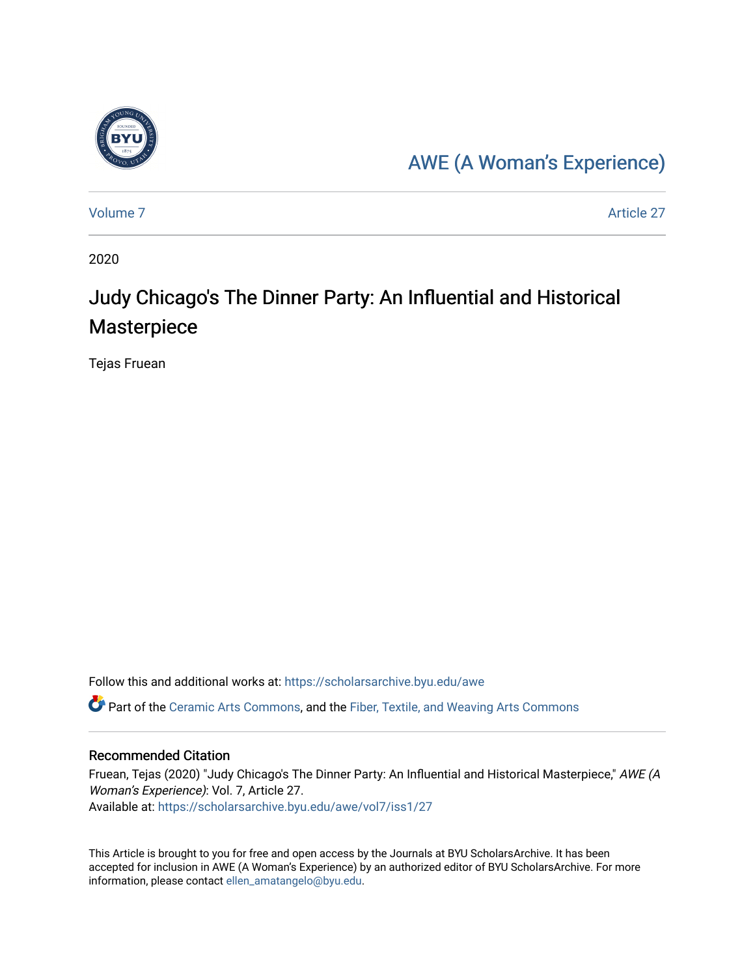

### [AWE \(A Woman's Experience\)](https://scholarsarchive.byu.edu/awe)

[Volume 7](https://scholarsarchive.byu.edu/awe/vol7) Article 27

2020

## Judy Chicago's The Dinner Party: An Influential and Historical Masterpiece

Tejas Fruean

Follow this and additional works at: [https://scholarsarchive.byu.edu/awe](https://scholarsarchive.byu.edu/awe?utm_source=scholarsarchive.byu.edu%2Fawe%2Fvol7%2Fiss1%2F27&utm_medium=PDF&utm_campaign=PDFCoverPages)

Part of the [Ceramic Arts Commons,](https://network.bepress.com/hgg/discipline/1336?utm_source=scholarsarchive.byu.edu%2Fawe%2Fvol7%2Fiss1%2F27&utm_medium=PDF&utm_campaign=PDFCoverPages) and the [Fiber, Textile, and Weaving Arts Commons](https://network.bepress.com/hgg/discipline/1337?utm_source=scholarsarchive.byu.edu%2Fawe%2Fvol7%2Fiss1%2F27&utm_medium=PDF&utm_campaign=PDFCoverPages) 

#### Recommended Citation

Fruean, Tejas (2020) "Judy Chicago's The Dinner Party: An Influential and Historical Masterpiece," AWE (A Woman's Experience): Vol. 7, Article 27. Available at: [https://scholarsarchive.byu.edu/awe/vol7/iss1/27](https://scholarsarchive.byu.edu/awe/vol7/iss1/27?utm_source=scholarsarchive.byu.edu%2Fawe%2Fvol7%2Fiss1%2F27&utm_medium=PDF&utm_campaign=PDFCoverPages) 

This Article is brought to you for free and open access by the Journals at BYU ScholarsArchive. It has been accepted for inclusion in AWE (A Woman's Experience) by an authorized editor of BYU ScholarsArchive. For more information, please contact [ellen\\_amatangelo@byu.edu.](mailto:ellen_amatangelo@byu.edu)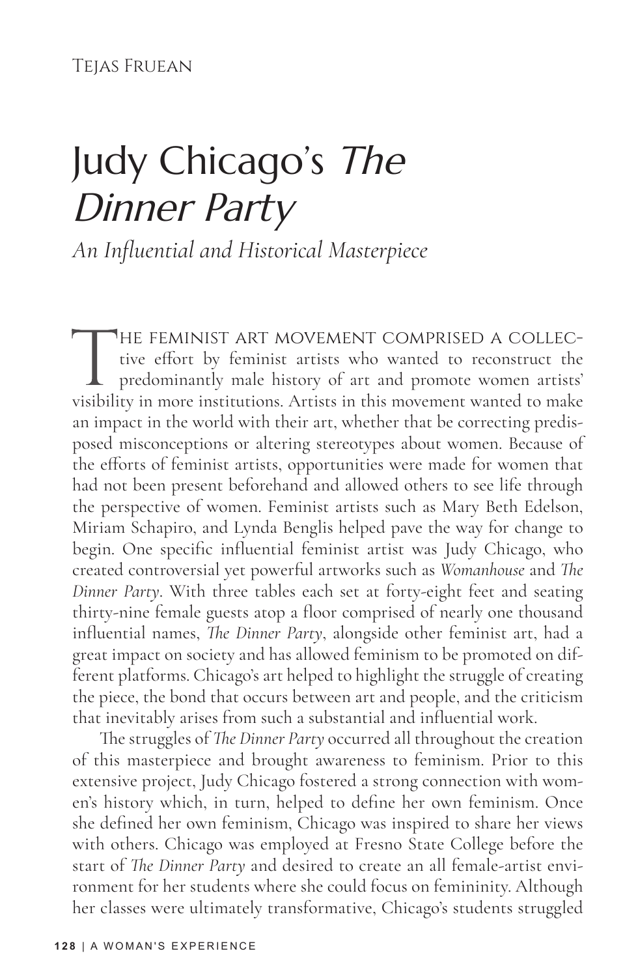Tejas Fruean

# Judy Chicago's The Dinner Party

*An Influential and Historical Masterpiece*

THE FEMINIST ART MOVEMENT COMPRISED A COLLECtive effort by feminist artists who wanted to reconstruct the predominantly male history of art and promote women artists' visibility in more institutions. Artists in this moveme tive effort by feminist artists who wanted to reconstruct the predominantly male history of art and promote women artists' visibility in more institutions. Artists in this movement wanted to make an impact in the world with their art, whether that be correcting predisposed misconceptions or altering stereotypes about women. Because of the efforts of feminist artists, opportunities were made for women that had not been present beforehand and allowed others to see life through the perspective of women. Feminist artists such as Mary Beth Edelson, Miriam Schapiro, and Lynda Benglis helped pave the way for change to begin. One specific influential feminist artist was Judy Chicago, who created controversial yet powerful artworks such as *Womanhouse* and *The Dinner Party*. With three tables each set at forty-eight feet and seating thirty-nine female guests atop a floor comprised of nearly one thousand influential names, *The Dinner Party*, alongside other feminist art, had a great impact on society and has allowed feminism to be promoted on different platforms. Chicago's art helped to highlight the struggle of creating the piece, the bond that occurs between art and people, and the criticism that inevitably arises from such a substantial and influential work.

The struggles of *The Dinner Party* occurred all throughout the creation of this masterpiece and brought awareness to feminism. Prior to this extensive project, Judy Chicago fostered a strong connection with women's history which, in turn, helped to define her own feminism. Once she defined her own feminism, Chicago was inspired to share her views with others. Chicago was employed at Fresno State College before the start of *The Dinner Party* and desired to create an all female-artist environment for her students where she could focus on femininity. Although her classes were ultimately transformative, Chicago's students struggled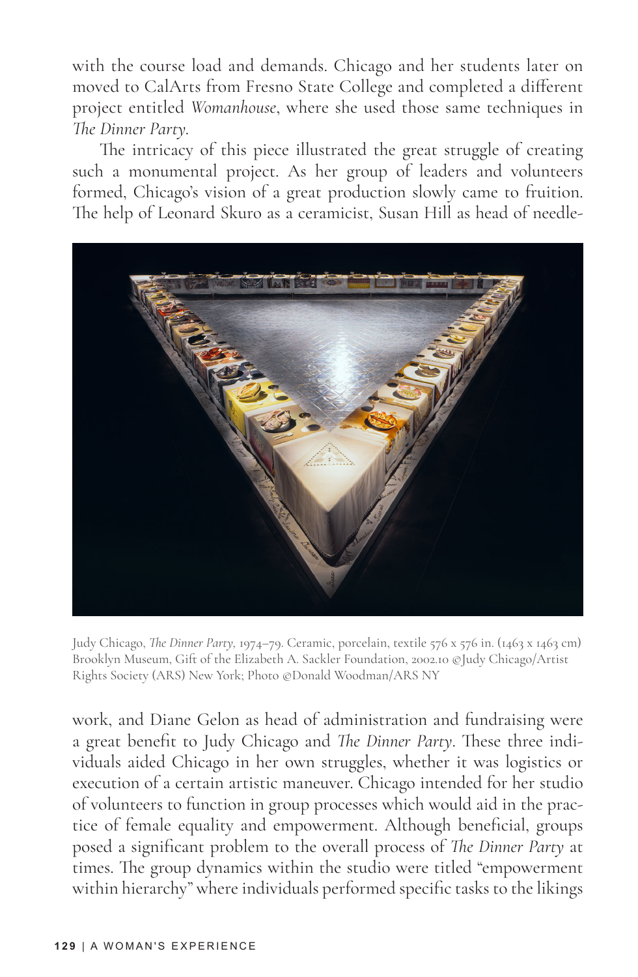with the course load and demands. Chicago and her students later on moved to CalArts from Fresno State College and completed a different project entitled *Womanhouse*, where she used those same techniques in *The Dinner Party.* 

The intricacy of this piece illustrated the great struggle of creating such a monumental project. As her group of leaders and volunteers formed, Chicago's vision of a great production slowly came to fruition. The help of Leonard Skuro as a ceramicist, Susan Hill as head of needle-



Judy Chicago, *The Dinner Party,* 1974–79. Ceramic, porcelain, textile 576 x 576 in. (1463 x 1463 cm) Brooklyn Museum, Gift of the Elizabeth A. Sackler Foundation, 2002.10 ©Judy Chicago/Artist Rights Society (ARS) New York; Photo ©Donald Woodman/ARS NY

work, and Diane Gelon as head of administration and fundraising were a great benefit to Judy Chicago and *The Dinner Party*. These three individuals aided Chicago in her own struggles, whether it was logistics or execution of a certain artistic maneuver. Chicago intended for her studio of volunteers to function in group processes which would aid in the practice of female equality and empowerment. Although beneficial, groups posed a significant problem to the overall process of *The Dinner Party* at times. The group dynamics within the studio were titled "empowerment within hierarchy" where individuals performed specific tasks to the likings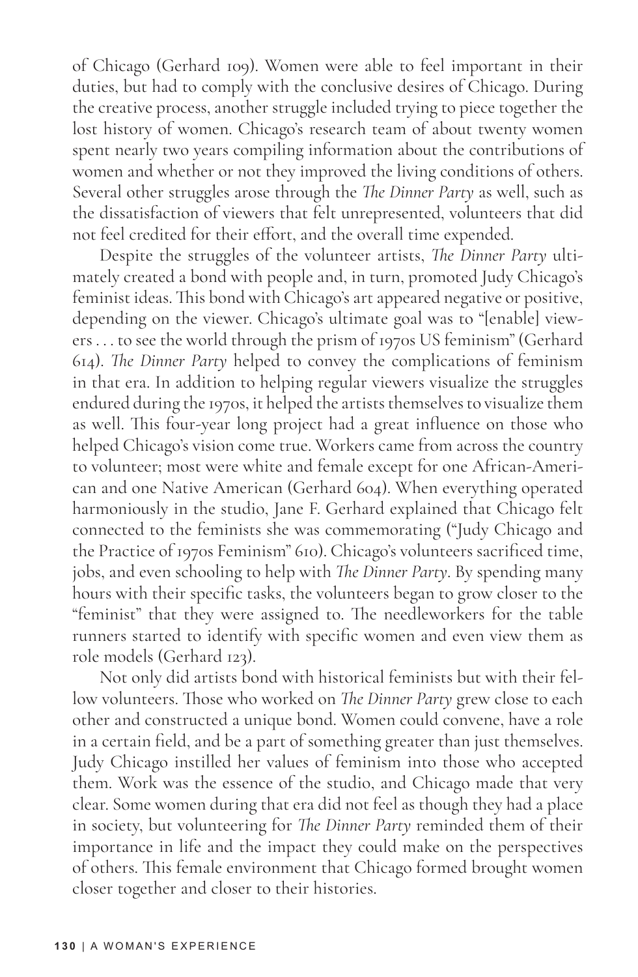of Chicago (Gerhard 109). Women were able to feel important in their duties, but had to comply with the conclusive desires of Chicago. During the creative process, another struggle included trying to piece together the lost history of women. Chicago's research team of about twenty women spent nearly two years compiling information about the contributions of women and whether or not they improved the living conditions of others. Several other struggles arose through the *The Dinner Party* as well, such as the dissatisfaction of viewers that felt unrepresented, volunteers that did not feel credited for their effort, and the overall time expended.

Despite the struggles of the volunteer artists, *The Dinner Party* ultimately created a bond with people and, in turn, promoted Judy Chicago's feminist ideas. This bond with Chicago's art appeared negative or positive, depending on the viewer. Chicago's ultimate goal was to "[enable] viewers . . . to see the world through the prism of 1970s US feminism" (Gerhard 614). *The Dinner Party* helped to convey the complications of feminism in that era. In addition to helping regular viewers visualize the struggles endured during the 1970s, it helped the artists themselves to visualize them as well. This four-year long project had a great influence on those who helped Chicago's vision come true. Workers came from across the country to volunteer; most were white and female except for one African-American and one Native American (Gerhard 604). When everything operated harmoniously in the studio, Jane F. Gerhard explained that Chicago felt connected to the feminists she was commemorating ("Judy Chicago and the Practice of 1970s Feminism" 610). Chicago's volunteers sacrificed time, jobs, and even schooling to help with *The Dinner Party*. By spending many hours with their specific tasks, the volunteers began to grow closer to the "feminist" that they were assigned to. The needleworkers for the table runners started to identify with specific women and even view them as role models (Gerhard 123).

Not only did artists bond with historical feminists but with their fellow volunteers. Those who worked on *The Dinner Party* grew close to each other and constructed a unique bond. Women could convene, have a role in a certain field, and be a part of something greater than just themselves. Judy Chicago instilled her values of feminism into those who accepted them. Work was the essence of the studio, and Chicago made that very clear. Some women during that era did not feel as though they had a place in society, but volunteering for *The Dinner Party* reminded them of their importance in life and the impact they could make on the perspectives of others. This female environment that Chicago formed brought women closer together and closer to their histories.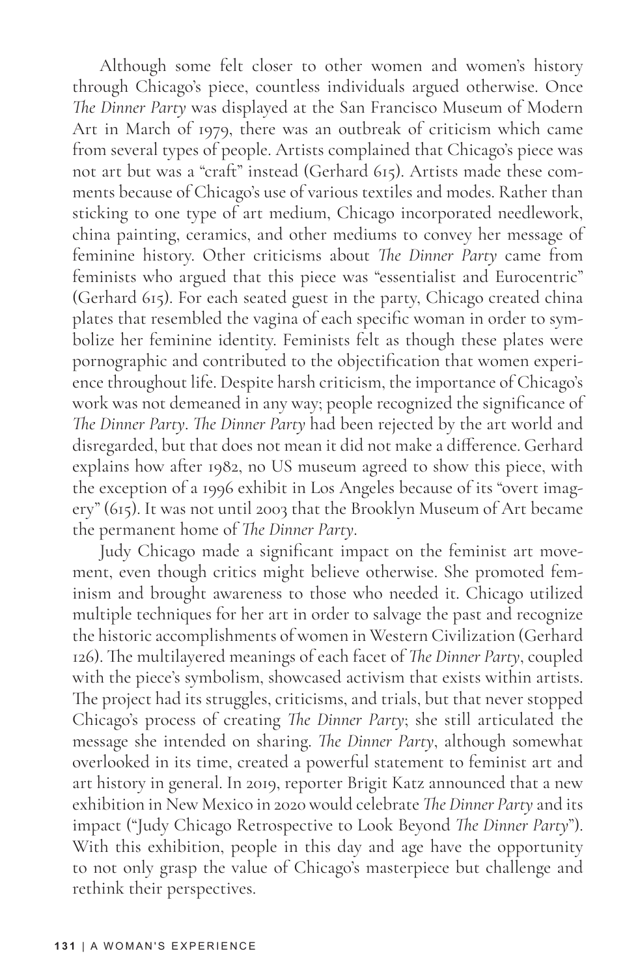Although some felt closer to other women and women's history through Chicago's piece, countless individuals argued otherwise. Once *The Dinner Party* was displayed at the San Francisco Museum of Modern Art in March of 1979, there was an outbreak of criticism which came from several types of people. Artists complained that Chicago's piece was not art but was a "craft" instead (Gerhard 615). Artists made these comments because of Chicago's use of various textiles and modes. Rather than sticking to one type of art medium, Chicago incorporated needlework, china painting, ceramics, and other mediums to convey her message of feminine history. Other criticisms about *The Dinner Party* came from feminists who argued that this piece was "essentialist and Eurocentric" (Gerhard 615). For each seated guest in the party, Chicago created china plates that resembled the vagina of each specific woman in order to symbolize her feminine identity. Feminists felt as though these plates were pornographic and contributed to the objectification that women experience throughout life. Despite harsh criticism, the importance of Chicago's work was not demeaned in any way; people recognized the significance of *The Dinner Party*. *The Dinner Party* had been rejected by the art world and disregarded, but that does not mean it did not make a difference. Gerhard explains how after 1982, no US museum agreed to show this piece, with the exception of a 1996 exhibit in Los Angeles because of its "overt imagery" (615). It was not until 2003 that the Brooklyn Museum of Art became the permanent home of *The Dinner Party*.

Judy Chicago made a significant impact on the feminist art movement, even though critics might believe otherwise. She promoted feminism and brought awareness to those who needed it. Chicago utilized multiple techniques for her art in order to salvage the past and recognize the historic accomplishments of women in Western Civilization (Gerhard 126). The multilayered meanings of each facet of *The Dinner Party*, coupled with the piece's symbolism, showcased activism that exists within artists. The project had its struggles, criticisms, and trials, but that never stopped Chicago's process of creating *The Dinner Party*; she still articulated the message she intended on sharing. *The Dinner Party*, although somewhat overlooked in its time, created a powerful statement to feminist art and art history in general. In 2019, reporter Brigit Katz announced that a new exhibition in New Mexico in 2020 would celebrate *The Dinner Party* and its impact ("Judy Chicago Retrospective to Look Beyond *The Dinner Party*"). With this exhibition, people in this day and age have the opportunity to not only grasp the value of Chicago's masterpiece but challenge and rethink their perspectives.